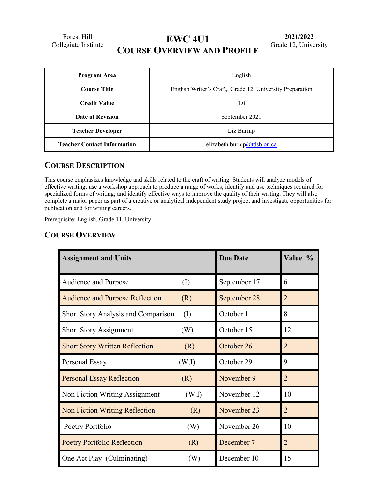Forest Hill

# Forest Hill<br>Collegiate Institute **EWC 4U1 COURSE OVERVIEW AND PROFILE**

| Program Area                       | English                                                  |  |
|------------------------------------|----------------------------------------------------------|--|
| <b>Course Title</b>                | English Writer's Craft, Grade 12, University Preparation |  |
| <b>Credit Value</b>                | 1.0                                                      |  |
| <b>Date of Revision</b>            | September 2021                                           |  |
| <b>Teacher Developer</b>           | Liz Burnip                                               |  |
| <b>Teacher Contact Information</b> | elizabeth.burnip@tdsb.on.ca                              |  |

# **COURSE DESCRIPTION**

This course emphasizes knowledge and skills related to the craft of writing. Students will analyze models of effective writing; use a workshop approach to produce a range of works; identify and use techniques required for specialized forms of writing; and identify effective ways to improve the quality of their writing. They will also complete a major paper as part of a creative or analytical independent study project and investigate opportunities for publication and for writing careers.

Prerequisite: English, Grade 11, University

## **COURSE OVERVIEW**

| <b>Assignment and Units</b>            |           | <b>Due Date</b> | Value %        |
|----------------------------------------|-----------|-----------------|----------------|
| Audience and Purpose                   | $\rm (I)$ | September 17    | 6              |
| <b>Audience and Purpose Reflection</b> | (R)       | September 28    | 2              |
| Short Story Analysis and Comparison    | (I)       | October 1       | 8              |
| <b>Short Story Assignment</b>          | (W)       | October 15      | 12             |
| <b>Short Story Written Reflection</b>  | (R)       | October 26      | $\overline{2}$ |
| Personal Essay                         | (W,I)     | October 29      | 9              |
| <b>Personal Essay Reflection</b>       | (R)       | November 9      | $\overline{2}$ |
| Non Fiction Writing Assignment         | (W,I)     | November 12     | 10             |
| <b>Non Fiction Writing Reflection</b>  | (R)       | November 23     | $\overline{2}$ |
| Poetry Portfolio                       | (W)       | November 26     | 10             |
| <b>Poetry Portfolio Reflection</b>     | (R)       | December 7      | $\overline{2}$ |
| One Act Play (Culminating)             | (W)       | December 10     | 15             |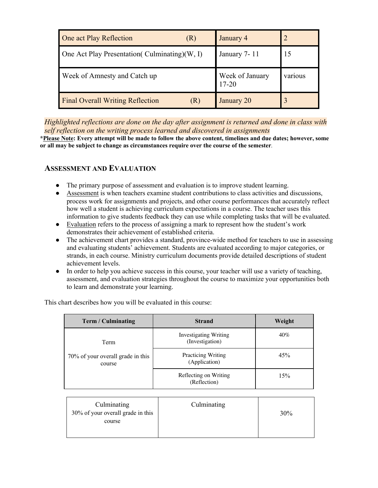| One act Play Reflection<br>(K)                   | January 4                    |         |
|--------------------------------------------------|------------------------------|---------|
| One Act Play Presentation (Culminating) $(W, I)$ | January 7-11                 | 15      |
| Week of Amnesty and Catch up                     | Week of January<br>$17 - 20$ | various |
| <b>Final Overall Writing Reflection</b>          | January 20                   |         |

*Highlighted reflections are done on the day after assignment is returned and done in class with self reflection on the writing process learned and discovered in assignments*

**\*Please Note: Every attempt will be made to follow the above content, timelines and due dates; however, some or all may be subject to change as circumstances require over the course of the semester***.* 

#### **ASSESSMENT AND EVALUATION**

- The primary purpose of assessment and evaluation is to improve student learning.
- Assessment is when teachers examine student contributions to class activities and discussions, process work for assignments and projects, and other course performances that accurately reflect how well a student is achieving curriculum expectations in a course. The teacher uses this information to give students feedback they can use while completing tasks that will be evaluated.
- Evaluation refers to the process of assigning a mark to represent how the student's work demonstrates their achievement of established criteria.
- The achievement chart provides a standard, province-wide method for teachers to use in assessing and evaluating students' achievement. Students are evaluated according to major categories, or strands, in each course. Ministry curriculum documents provide detailed descriptions of student achievement levels.
- In order to help you achieve success in this course, your teacher will use a variety of teaching, assessment, and evaluation strategies throughout the course to maximize your opportunities both to learn and demonstrate your learning.

| Term / Culminating                                                                                                                                                                            | <b>Strand</b> | Weight |
|-----------------------------------------------------------------------------------------------------------------------------------------------------------------------------------------------|---------------|--------|
| <b>Investigating Writing</b><br>(Investigation)<br>Term<br><b>Practicing Writing</b><br>70% of your overall grade in this<br>(Application)<br>course<br>Reflecting on Writing<br>(Reflection) |               | 40%    |
|                                                                                                                                                                                               |               | 45%    |
|                                                                                                                                                                                               |               | 15%    |

This chart describes how you will be evaluated in this course:

| Culminating<br>30% of your overall grade in this | Culminating |     |
|--------------------------------------------------|-------------|-----|
| course                                           |             | 30% |
|                                                  |             |     |